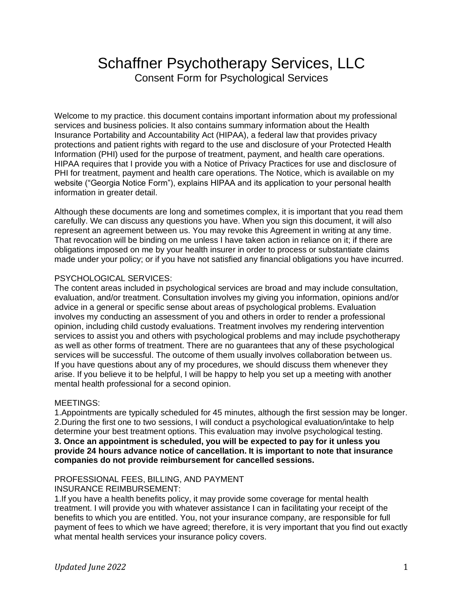# Schaffner Psychotherapy Services, LLC Consent Form for Psychological Services

Welcome to my practice. this document contains important information about my professional services and business policies. It also contains summary information about the Health Insurance Portability and Accountability Act (HIPAA), a federal law that provides privacy protections and patient rights with regard to the use and disclosure of your Protected Health Information (PHI) used for the purpose of treatment, payment, and health care operations. HIPAA requires that I provide you with a Notice of Privacy Practices for use and disclosure of PHI for treatment, payment and health care operations. The Notice, which is available on my website ("Georgia Notice Form"), explains HIPAA and its application to your personal health information in greater detail.

Although these documents are long and sometimes complex, it is important that you read them carefully. We can discuss any questions you have. When you sign this document, it will also represent an agreement between us. You may revoke this Agreement in writing at any time. That revocation will be binding on me unless I have taken action in reliance on it; if there are obligations imposed on me by your health insurer in order to process or substantiate claims made under your policy; or if you have not satisfied any financial obligations you have incurred.

## PSYCHOLOGICAL SERVICES:

The content areas included in psychological services are broad and may include consultation, evaluation, and/or treatment. Consultation involves my giving you information, opinions and/or advice in a general or specific sense about areas of psychological problems. Evaluation involves my conducting an assessment of you and others in order to render a professional opinion, including child custody evaluations. Treatment involves my rendering intervention services to assist you and others with psychological problems and may include psychotherapy as well as other forms of treatment. There are no guarantees that any of these psychological services will be successful. The outcome of them usually involves collaboration between us. If you have questions about any of my procedures, we should discuss them whenever they arise. If you believe it to be helpful, I will be happy to help you set up a meeting with another mental health professional for a second opinion.

## MEETINGS:

1.Appointments are typically scheduled for 45 minutes, although the first session may be longer. 2.During the first one to two sessions, I will conduct a psychological evaluation/intake to help determine your best treatment options. This evaluation may involve psychological testing. **3. Once an appointment is scheduled, you will be expected to pay for it unless you provide 24 hours advance notice of cancellation. It is important to note that insurance companies do not provide reimbursement for cancelled sessions.** 

## PROFESSIONAL FEES, BILLING, AND PAYMENT

## INSURANCE REIMBURSEMENT:

1.If you have a health benefits policy, it may provide some coverage for mental health treatment. I will provide you with whatever assistance I can in facilitating your receipt of the benefits to which you are entitled. You, not your insurance company, are responsible for full payment of fees to which we have agreed; therefore, it is very important that you find out exactly what mental health services your insurance policy covers.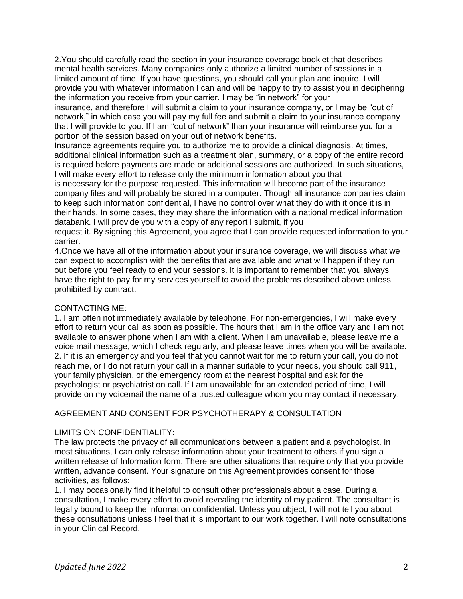2.You should carefully read the section in your insurance coverage booklet that describes mental health services. Many companies only authorize a limited number of sessions in a limited amount of time. If you have questions, you should call your plan and inquire. I will provide you with whatever information I can and will be happy to try to assist you in deciphering the information you receive from your carrier. I may be "in network" for your

insurance, and therefore I will submit a claim to your insurance company, or I may be "out of network," in which case you will pay my full fee and submit a claim to your insurance company that I will provide to you. If I am "out of network" than your insurance will reimburse you for a portion of the session based on your out of network benefits.

Insurance agreements require you to authorize me to provide a clinical diagnosis. At times, additional clinical information such as a treatment plan, summary, or a copy of the entire record is required before payments are made or additional sessions are authorized. In such situations, I will make every effort to release only the minimum information about you that

is necessary for the purpose requested. This information will become part of the insurance company files and will probably be stored in a computer. Though all insurance companies claim to keep such information confidential, I have no control over what they do with it once it is in their hands. In some cases, they may share the information with a national medical information databank. I will provide you with a copy of any report I submit, if you

request it. By signing this Agreement, you agree that I can provide requested information to your carrier.

4.Once we have all of the information about your insurance coverage, we will discuss what we can expect to accomplish with the benefits that are available and what will happen if they run out before you feel ready to end your sessions. It is important to remember that you always have the right to pay for my services yourself to avoid the problems described above unless prohibited by contract.

## CONTACTING ME:

1. I am often not immediately available by telephone. For non-emergencies, I will make every effort to return your call as soon as possible. The hours that I am in the office vary and I am not available to answer phone when I am with a client. When I am unavailable, please leave me a voice mail message, which I check regularly, and please leave times when you will be available. 2. If it is an emergency and you feel that you cannot wait for me to return your call, you do not reach me, or I do not return your call in a manner suitable to your needs, you should call 911, your family physician, or the emergency room at the nearest hospital and ask for the psychologist or psychiatrist on call. If I am unavailable for an extended period of time, I will provide on my voicemail the name of a trusted colleague whom you may contact if necessary.

## AGREEMENT AND CONSENT FOR PSYCHOTHERAPY & CONSULTATION

#### LIMITS ON CONFIDENTIALITY:

The law protects the privacy of all communications between a patient and a psychologist. In most situations, I can only release information about your treatment to others if you sign a written release of Information form. There are other situations that require only that you provide written, advance consent. Your signature on this Agreement provides consent for those activities, as follows:

1. I may occasionally find it helpful to consult other professionals about a case. During a consultation, I make every effort to avoid revealing the identity of my patient. The consultant is legally bound to keep the information confidential. Unless you object, I will not tell you about these consultations unless I feel that it is important to our work together. I will note consultations in your Clinical Record.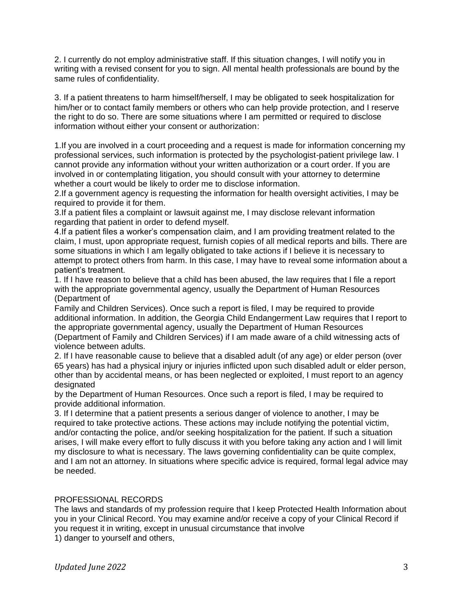2. I currently do not employ administrative staff. If this situation changes, I will notify you in writing with a revised consent for you to sign. All mental health professionals are bound by the same rules of confidentiality.

3. If a patient threatens to harm himself/herself, I may be obligated to seek hospitalization for him/her or to contact family members or others who can help provide protection, and I reserve the right to do so. There are some situations where I am permitted or required to disclose information without either your consent or authorization:

1.If you are involved in a court proceeding and a request is made for information concerning my professional services, such information is protected by the psychologist-patient privilege law. I cannot provide any information without your written authorization or a court order. If you are involved in or contemplating litigation, you should consult with your attorney to determine whether a court would be likely to order me to disclose information.

2.If a government agency is requesting the information for health oversight activities, I may be required to provide it for them.

3.If a patient files a complaint or lawsuit against me, I may disclose relevant information regarding that patient in order to defend myself.

4.If a patient files a worker's compensation claim, and I am providing treatment related to the claim, I must, upon appropriate request, furnish copies of all medical reports and bills. There are some situations in which I am legally obligated to take actions if I believe it is necessary to attempt to protect others from harm. In this case, I may have to reveal some information about a patient's treatment.

1. If I have reason to believe that a child has been abused, the law requires that I file a report with the appropriate governmental agency, usually the Department of Human Resources (Department of

Family and Children Services). Once such a report is filed, I may be required to provide additional information. In addition, the Georgia Child Endangerment Law requires that I report to the appropriate governmental agency, usually the Department of Human Resources (Department of Family and Children Services) if I am made aware of a child witnessing acts of violence between adults.

2. If I have reasonable cause to believe that a disabled adult (of any age) or elder person (over 65 years) has had a physical injury or injuries inflicted upon such disabled adult or elder person, other than by accidental means, or has been neglected or exploited, I must report to an agency designated

by the Department of Human Resources. Once such a report is filed, I may be required to provide additional information.

3. If I determine that a patient presents a serious danger of violence to another, I may be required to take protective actions. These actions may include notifying the potential victim, and/or contacting the police, and/or seeking hospitalization for the patient. If such a situation arises, I will make every effort to fully discuss it with you before taking any action and I will limit my disclosure to what is necessary. The laws governing confidentiality can be quite complex, and I am not an attorney. In situations where specific advice is required, formal legal advice may be needed.

## PROFESSIONAL RECORDS

The laws and standards of my profession require that I keep Protected Health Information about you in your Clinical Record. You may examine and/or receive a copy of your Clinical Record if you request it in writing, except in unusual circumstance that involve 1) danger to yourself and others,